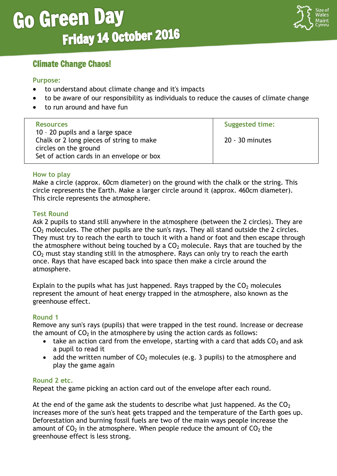

## Climate Change Chaos!

#### **Purpose:**

- to understand about climate change and it's impacts
- to be aware of our responsibility as individuals to reduce the causes of climate change
- to run around and have fun

| <b>Resources</b><br>10 - 20 pupils and a large space                                                           | <b>Suggested time:</b> |
|----------------------------------------------------------------------------------------------------------------|------------------------|
| Chalk or 2 long pieces of string to make<br>circles on the ground<br>Set of action cards in an envelope or box | 20 - 30 minutes        |

#### **How to play**

Make a circle (approx. 60cm diameter) on the ground with the chalk or the string. This circle represents the Earth. Make a larger circle around it (approx. 460cm diameter). This circle represents the atmosphere.

#### **Test Round**

Ask 2 pupils to stand still anywhere in the atmosphere (between the 2 circles). They are  $CO<sub>2</sub>$  molecules. The other pupils are the sun's rays. They all stand outside the 2 circles. They must try to reach the earth to touch it with a hand or foot and then escape through the atmosphere without being touched by a  $CO<sub>2</sub>$  molecule. Rays that are touched by the  $CO<sub>2</sub>$  must stay standing still in the atmosphere. Rays can only try to reach the earth once. Rays that have escaped back into space then make a circle around the atmosphere.

Explain to the pupils what has just happened. Rays trapped by the  $CO<sub>2</sub>$  molecules represent the amount of heat energy trapped in the atmosphere, also known as the greenhouse effect.

### **Round 1**

Remove any sun's rays (pupils) that were trapped in the test round. Increase or decrease the amount of  $CO<sub>2</sub>$  in the atmosphere by using the action cards as follows:

- take an action card from the envelope, starting with a card that adds  $CO<sub>2</sub>$  and ask a pupil to read it
- add the written number of  $CO<sub>2</sub>$  molecules (e.g. 3 pupils) to the atmosphere and play the game again

#### **Round 2 etc.**

Repeat the game picking an action card out of the envelope after each round.

At the end of the game ask the students to describe what just happened. As the  $CO<sub>2</sub>$ increases more of the sun's heat gets trapped and the temperature of the Earth goes up. Deforestation and burning fossil fuels are two of the main ways people increase the amount of  $CO<sub>2</sub>$  in the atmosphere. When people reduce the amount of  $CO<sub>2</sub>$  the greenhouse effect is less strong.